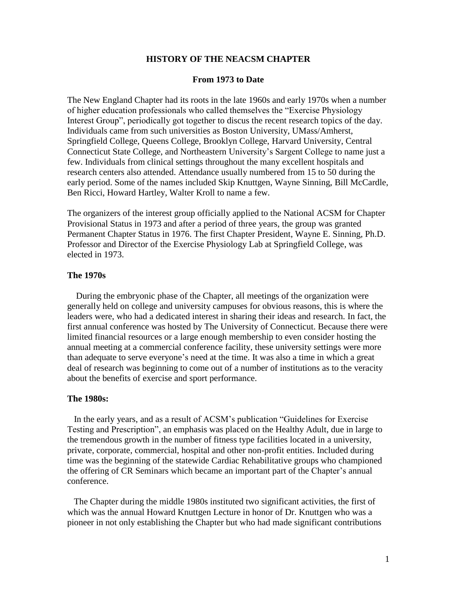#### **HISTORY OF THE NEACSM CHAPTER**

#### **From 1973 to Date**

The New England Chapter had its roots in the late 1960s and early 1970s when a number of higher education professionals who called themselves the "Exercise Physiology Interest Group", periodically got together to discus the recent research topics of the day. Individuals came from such universities as Boston University, UMass/Amherst, Springfield College, Queens College, Brooklyn College, Harvard University, Central Connecticut State College, and Northeastern University's Sargent College to name just a few. Individuals from clinical settings throughout the many excellent hospitals and research centers also attended. Attendance usually numbered from 15 to 50 during the early period. Some of the names included Skip Knuttgen, Wayne Sinning, Bill McCardle, Ben Ricci, Howard Hartley, Walter Kroll to name a few.

The organizers of the interest group officially applied to the National ACSM for Chapter Provisional Status in 1973 and after a period of three years, the group was granted Permanent Chapter Status in 1976. The first Chapter President, Wayne E. Sinning, Ph.D. Professor and Director of the Exercise Physiology Lab at Springfield College, was elected in 1973.

# **The 1970s**

During the embryonic phase of the Chapter, all meetings of the organization were generally held on college and university campuses for obvious reasons, this is where the leaders were, who had a dedicated interest in sharing their ideas and research. In fact, the first annual conference was hosted by The University of Connecticut. Because there were limited financial resources or a large enough membership to even consider hosting the annual meeting at a commercial conference facility, these university settings were more than adequate to serve everyone's need at the time. It was also a time in which a great deal of research was beginning to come out of a number of institutions as to the veracity about the benefits of exercise and sport performance.

## **The 1980s:**

In the early years, and as a result of ACSM's publication "Guidelines for Exercise Testing and Prescription", an emphasis was placed on the Healthy Adult, due in large to the tremendous growth in the number of fitness type facilities located in a university, private, corporate, commercial, hospital and other non-profit entities. Included during time was the beginning of the statewide Cardiac Rehabilitative groups who championed the offering of CR Seminars which became an important part of the Chapter's annual conference.

 The Chapter during the middle 1980s instituted two significant activities, the first of which was the annual Howard Knuttgen Lecture in honor of Dr. Knuttgen who was a pioneer in not only establishing the Chapter but who had made significant contributions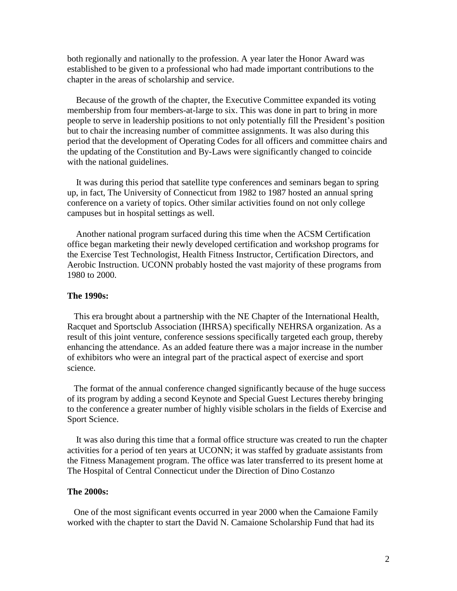both regionally and nationally to the profession. A year later the Honor Award was established to be given to a professional who had made important contributions to the chapter in the areas of scholarship and service.

 Because of the growth of the chapter, the Executive Committee expanded its voting membership from four members-at-large to six. This was done in part to bring in more people to serve in leadership positions to not only potentially fill the President's position but to chair the increasing number of committee assignments. It was also during this period that the development of Operating Codes for all officers and committee chairs and the updating of the Constitution and By-Laws were significantly changed to coincide with the national guidelines.

 It was during this period that satellite type conferences and seminars began to spring up, in fact, The University of Connecticut from 1982 to 1987 hosted an annual spring conference on a variety of topics. Other similar activities found on not only college campuses but in hospital settings as well.

 Another national program surfaced during this time when the ACSM Certification office began marketing their newly developed certification and workshop programs for the Exercise Test Technologist, Health Fitness Instructor, Certification Directors, and Aerobic Instruction. UCONN probably hosted the vast majority of these programs from 1980 to 2000.

#### **The 1990s:**

This era brought about a partnership with the NE Chapter of the International Health, Racquet and Sportsclub Association (IHRSA) specifically NEHRSA organization. As a result of this joint venture, conference sessions specifically targeted each group, thereby enhancing the attendance. As an added feature there was a major increase in the number of exhibitors who were an integral part of the practical aspect of exercise and sport science.

 The format of the annual conference changed significantly because of the huge success of its program by adding a second Keynote and Special Guest Lectures thereby bringing to the conference a greater number of highly visible scholars in the fields of Exercise and Sport Science.

 It was also during this time that a formal office structure was created to run the chapter activities for a period of ten years at UCONN; it was staffed by graduate assistants from the Fitness Management program. The office was later transferred to its present home at The Hospital of Central Connecticut under the Direction of Dino Costanzo

## **The 2000s:**

 One of the most significant events occurred in year 2000 when the Camaione Family worked with the chapter to start the David N. Camaione Scholarship Fund that had its